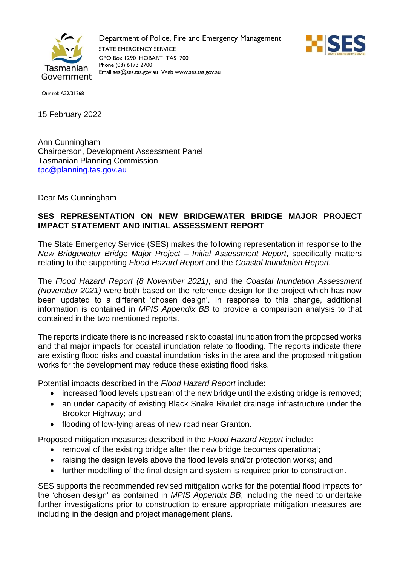

Department of Police, Fire and Emergency Management STATE EMERGENCY SERVICE GPO Box 1290 HOBART TAS 7001 Phone (03) 6173 2700 Email ses@ses.tas.gov.au Web www.ses.tas.gov.au



Our ref: A22/31268

15 February 2022

Ann Cunningham Chairperson, Development Assessment Panel Tasmanian Planning Commission [tpc@planning.tas.gov.au](mailto:tpc@planning.tas.gov.au)

Dear Ms Cunningham

## **SES REPRESENTATION ON NEW BRIDGEWATER BRIDGE MAJOR PROJECT IMPACT STATEMENT AND INITIAL ASSESSMENT REPORT**

The State Emergency Service (SES) makes the following representation in response to the *New Bridgewater Bridge Major Project – Initial Assessment Report*, specifically matters relating to the supporting *Flood Hazard Report* and the *Coastal Inundation Report.*

The *Flood Hazard Report (8 November 2021)*, and the *Coastal Inundation Assessment (November 2021)* were both based on the reference design for the project which has now been updated to a different 'chosen design'. In response to this change, additional information is contained in *MPIS Appendix BB* to provide a comparison analysis to that contained in the two mentioned reports.

The reports indicate there is no increased risk to coastal inundation from the proposed works and that major impacts for coastal inundation relate to flooding. The reports indicate there are existing flood risks and coastal inundation risks in the area and the proposed mitigation works for the development may reduce these existing flood risks.

Potential impacts described in the *Flood Hazard Report* include:

- increased flood levels upstream of the new bridge until the existing bridge is removed;
- an under capacity of existing Black Snake Rivulet drainage infrastructure under the Brooker Highway; and
- flooding of low-lying areas of new road near Granton.

Proposed mitigation measures described in the *Flood Hazard Report* include:

- removal of the existing bridge after the new bridge becomes operational;
- raising the design levels above the flood levels and/or protection works; and
- further modelling of the final design and system is required prior to construction.

SES supports the recommended revised mitigation works for the potential flood impacts for the 'chosen design' as contained in *MPIS Appendix BB*, including the need to undertake further investigations prior to construction to ensure appropriate mitigation measures are including in the design and project management plans.